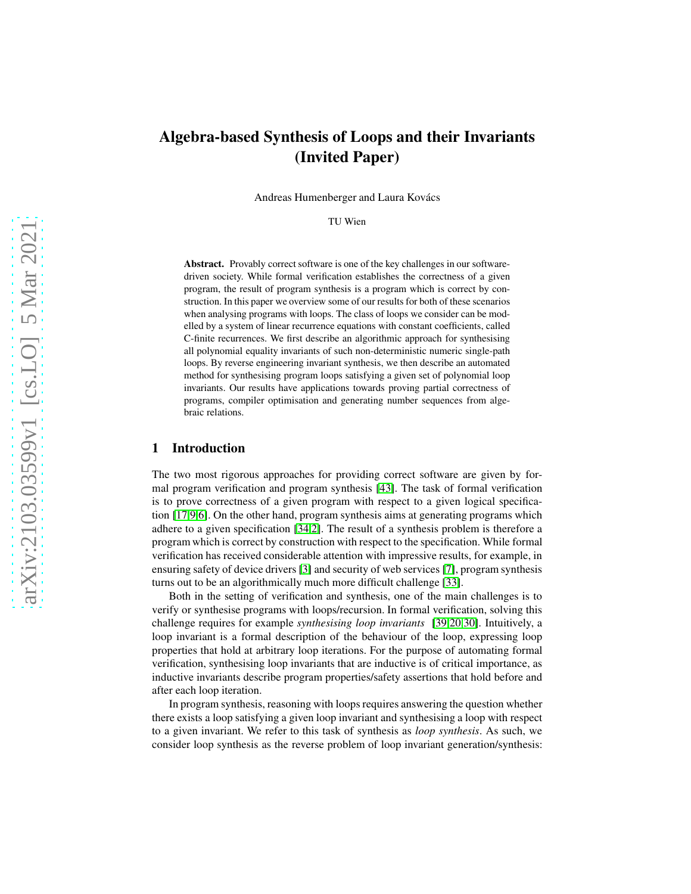# Algebra-based Synthesis of Loops and their Invariants (Invited Paper)

Andreas Humenberger and Laura Kovács

TU Wien

Abstract. Provably correct software is one of the key challenges in our softwaredriven society. While formal verification establishes the correctness of a given program, the result of program synthesis is a program which is correct by construction. In this paper we overview some of our results for both of these scenarios when analysing programs with loops. The class of loops we consider can be modelled by a system of linear recurrence equations with constant coefficients, called C-finite recurrences. We first describe an algorithmic approach for synthesising all polynomial equality invariants of such non-deterministic numeric single-path loops. By reverse engineering invariant synthesis, we then describe an automated method for synthesising program loops satisfying a given set of polynomial loop invariants. Our results have applications towards proving partial correctness of programs, compiler optimisation and generating number sequences from algebraic relations.

#### 1 Introduction

The two most rigorous approaches for providing correct software are given by formal program verification and program synthesis [\[43\]](#page-11-0). The task of formal verification is to prove correctness of a given program with respect to a given logical specification [\[17](#page-10-0)[,9](#page-10-1)[,6\]](#page-9-0). On the other hand, program synthesis aims at generating programs which adhere to a given specification [\[34,](#page-11-1)[2\]](#page-9-1). The result of a synthesis problem is therefore a program which is correct by construction with respect to the specification. While formal verification has received considerable attention with impressive results, for example, in ensuring safety of device drivers [\[3\]](#page-9-2) and security of web services [\[7\]](#page-9-3), program synthesis turns out to be an algorithmically much more difficult challenge [\[33\]](#page-11-2).

Both in the setting of verification and synthesis, one of the main challenges is to verify or synthesise programs with loops/recursion. In formal verification, solving this challenge requires for example *synthesising loop invariants* [\[39,](#page-11-3)[20](#page-10-2)[,30\]](#page-10-3). Intuitively, a loop invariant is a formal description of the behaviour of the loop, expressing loop properties that hold at arbitrary loop iterations. For the purpose of automating formal verification, synthesising loop invariants that are inductive is of critical importance, as inductive invariants describe program properties/safety assertions that hold before and after each loop iteration.

In program synthesis, reasoning with loops requires answering the question whether there exists a loop satisfying a given loop invariant and synthesising a loop with respect to a given invariant. We refer to this task of synthesis as *loop synthesis*. As such, we consider loop synthesis as the reverse problem of loop invariant generation/synthesis: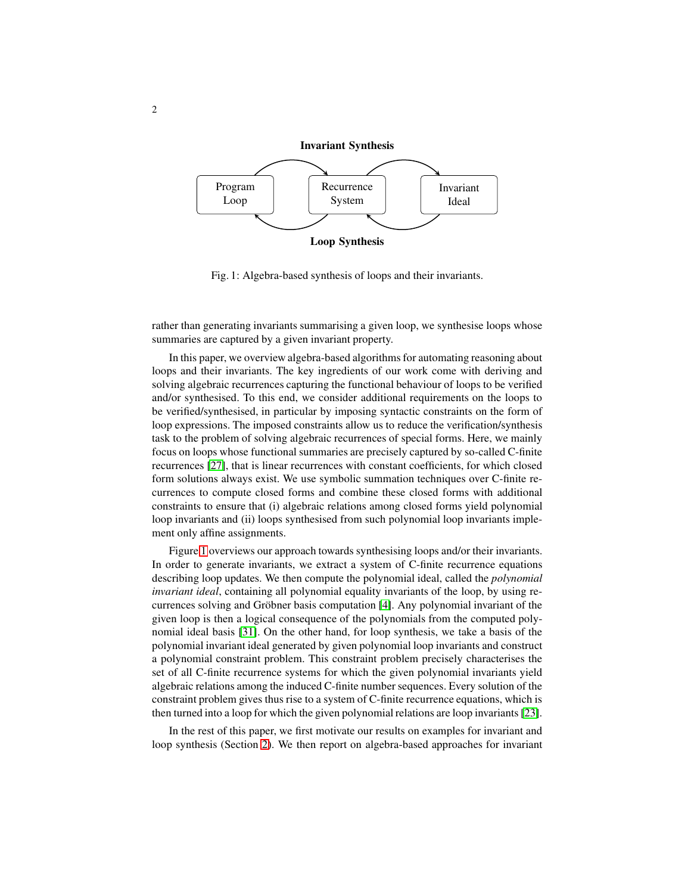<span id="page-1-0"></span>

Fig. 1: Algebra-based synthesis of loops and their invariants.

rather than generating invariants summarising a given loop, we synthesise loops whose summaries are captured by a given invariant property.

In this paper, we overview algebra-based algorithms for automating reasoning about loops and their invariants. The key ingredients of our work come with deriving and solving algebraic recurrences capturing the functional behaviour of loops to be verified and/or synthesised. To this end, we consider additional requirements on the loops to be verified/synthesised, in particular by imposing syntactic constraints on the form of loop expressions. The imposed constraints allow us to reduce the verification/synthesis task to the problem of solving algebraic recurrences of special forms. Here, we mainly focus on loops whose functional summaries are precisely captured by so-called C-finite recurrences [\[27\]](#page-10-4), that is linear recurrences with constant coefficients, for which closed form solutions always exist. We use symbolic summation techniques over C-finite recurrences to compute closed forms and combine these closed forms with additional constraints to ensure that (i) algebraic relations among closed forms yield polynomial loop invariants and (ii) loops synthesised from such polynomial loop invariants implement only affine assignments.

Figure [1](#page-1-0) overviews our approach towards synthesising loops and/or their invariants. In order to generate invariants, we extract a system of C-finite recurrence equations describing loop updates. We then compute the polynomial ideal, called the *polynomial invariant ideal*, containing all polynomial equality invariants of the loop, by using re-currences solving and Gröbner basis computation [\[4\]](#page-9-4). Any polynomial invariant of the given loop is then a logical consequence of the polynomials from the computed polynomial ideal basis [\[31\]](#page-10-5). On the other hand, for loop synthesis, we take a basis of the polynomial invariant ideal generated by given polynomial loop invariants and construct a polynomial constraint problem. This constraint problem precisely characterises the set of all C-finite recurrence systems for which the given polynomial invariants yield algebraic relations among the induced C-finite number sequences. Every solution of the constraint problem gives thus rise to a system of C-finite recurrence equations, which is then turned into a loop for which the given polynomial relations are loop invariants [\[23\]](#page-10-6).

In the rest of this paper, we first motivate our results on examples for invariant and loop synthesis (Section [2\)](#page-2-0). We then report on algebra-based approaches for invariant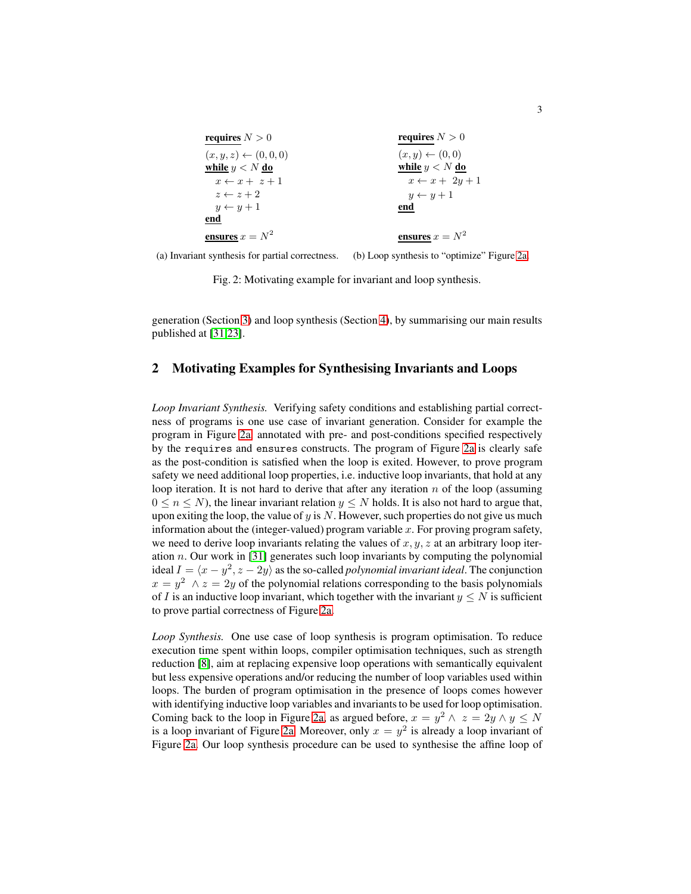```
requires N > 0(x, y, z) \leftarrow (0, 0, 0)while y < N do
  x \leftarrow x + z + 1z \leftarrow z + 2y \leftarrow y + 1end
<u>ensures</u> x = N^2requires N > 0(x, y) \leftarrow (0, 0)while y < N do
                                                           x \leftarrow x + 2y + 1y \leftarrow y + 1end
                                                         <u>ensures</u> x = N^2
```
(a) Invariant synthesis for partial correctness. (b) Loop synthesis to "optimize" Figure [2a.](#page-2-1)

Fig. 2: Motivating example for invariant and loop synthesis.

generation (Section [3\)](#page-3-0) and loop synthesis (Section [4\)](#page-5-0), by summarising our main results published at [\[31](#page-10-5)[,23\]](#page-10-6).

## <span id="page-2-0"></span>2 Motivating Examples for Synthesising Invariants and Loops

*Loop Invariant Synthesis.* Verifying safety conditions and establishing partial correctness of programs is one use case of invariant generation. Consider for example the program in Figure [2a,](#page-2-1) annotated with pre- and post-conditions specified respectively by the requires and ensures constructs. The program of Figure [2a](#page-2-1) is clearly safe as the post-condition is satisfied when the loop is exited. However, to prove program safety we need additional loop properties, i.e. inductive loop invariants, that hold at any loop iteration. It is not hard to derive that after any iteration  $n$  of the loop (assuming  $0 \le n \le N$ , the linear invariant relation  $y \le N$  holds. It is also not hard to argue that, upon exiting the loop, the value of  $y$  is  $N$ . However, such properties do not give us much information about the (integer-valued) program variable  $x$ . For proving program safety, we need to derive loop invariants relating the values of  $x, y, z$  at an arbitrary loop iteration n. Our work in [\[31\]](#page-10-5) generates such loop invariants by computing the polynomial ideal  $I = \langle x - y^2, z - 2y \rangle$  as the so-called *polynomial invariant ideal*. The conjunction  $x = y^2 \land z = 2y$  of the polynomial relations corresponding to the basis polynomials of I is an inductive loop invariant, which together with the invariant  $y \leq N$  is sufficient to prove partial correctness of Figure [2a.](#page-2-1)

*Loop Synthesis.* One use case of loop synthesis is program optimisation. To reduce execution time spent within loops, compiler optimisation techniques, such as strength reduction [\[8\]](#page-9-5), aim at replacing expensive loop operations with semantically equivalent but less expensive operations and/or reducing the number of loop variables used within loops. The burden of program optimisation in the presence of loops comes however with identifying inductive loop variables and invariants to be used for loop optimisation. Coming back to the loop in Figure [2a,](#page-2-1) as argued before,  $x = y^2 \wedge z = 2y \wedge y \le N$ is a loop invariant of Figure [2a.](#page-2-1) Moreover, only  $x = y^2$  is already a loop invariant of Figure [2a.](#page-2-1) Our loop synthesis procedure can be used to synthesise the affine loop of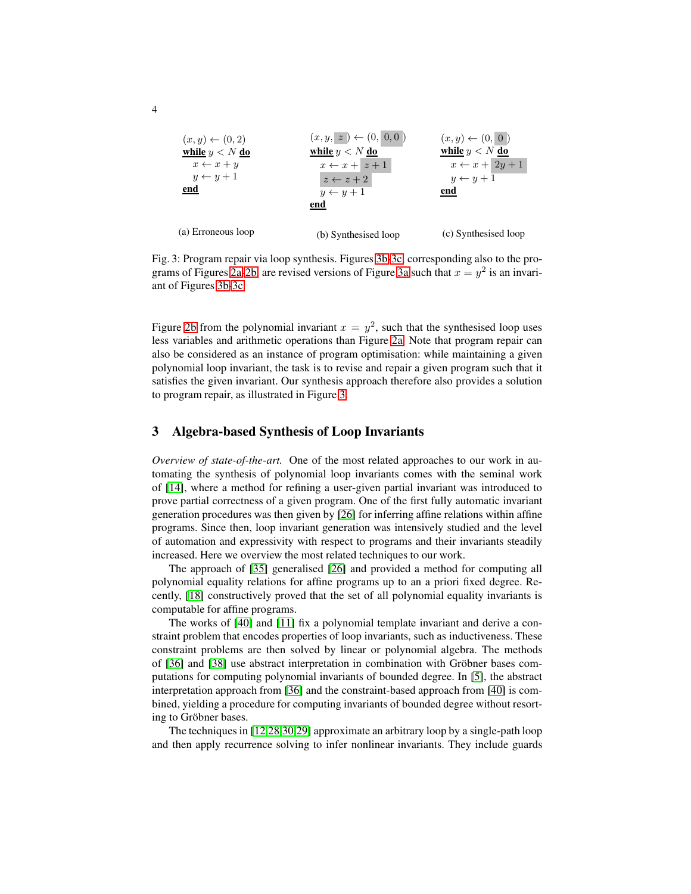<span id="page-3-1"></span>

Fig. 3: Program repair via loop synthesis. Figures [3b-3c,](#page-3-1) corresponding also to the pro-grams of Figures [2a-2b,](#page-2-1) are revised versions of Figure [3a](#page-3-1) such that  $x = y^2$  is an invariant of Figures [3b-3c.](#page-3-1)

Figure [2b](#page-2-1) from the polynomial invariant  $x = y^2$ , such that the synthesised loop uses less variables and arithmetic operations than Figure [2a.](#page-2-1) Note that program repair can also be considered as an instance of program optimisation: while maintaining a given polynomial loop invariant, the task is to revise and repair a given program such that it satisfies the given invariant. Our synthesis approach therefore also provides a solution to program repair, as illustrated in Figure [3.](#page-3-1)

### <span id="page-3-0"></span>3 Algebra-based Synthesis of Loop Invariants

*Overview of state-of-the-art.* One of the most related approaches to our work in automating the synthesis of polynomial loop invariants comes with the seminal work of [\[14\]](#page-10-7), where a method for refining a user-given partial invariant was introduced to prove partial correctness of a given program. One of the first fully automatic invariant generation procedures was then given by [\[26\]](#page-10-8) for inferring affine relations within affine programs. Since then, loop invariant generation was intensively studied and the level of automation and expressivity with respect to programs and their invariants steadily increased. Here we overview the most related techniques to our work.

The approach of [\[35\]](#page-11-4) generalised [\[26\]](#page-10-8) and provided a method for computing all polynomial equality relations for affine programs up to an a priori fixed degree. Recently, [\[18\]](#page-10-9) constructively proved that the set of all polynomial equality invariants is computable for affine programs.

The works of [\[40\]](#page-11-5) and [\[11\]](#page-10-10) fix a polynomial template invariant and derive a constraint problem that encodes properties of loop invariants, such as inductiveness. These constraint problems are then solved by linear or polynomial algebra. The methods of [36] and [38] use abstract interpretation in combination with Gröbner bases computations for computing polynomial invariants of bounded degree. In [\[5\]](#page-9-6), the abstract interpretation approach from [36] and the constraint-based approach from [\[40\]](#page-11-5) is combined, yielding a procedure for computing invariants of bounded degree without resorting to Gröbner bases.

The techniques in [\[12,](#page-10-11)[28,](#page-10-12)[30,](#page-10-3)[29\]](#page-10-13) approximate an arbitrary loop by a single-path loop and then apply recurrence solving to infer nonlinear invariants. They include guards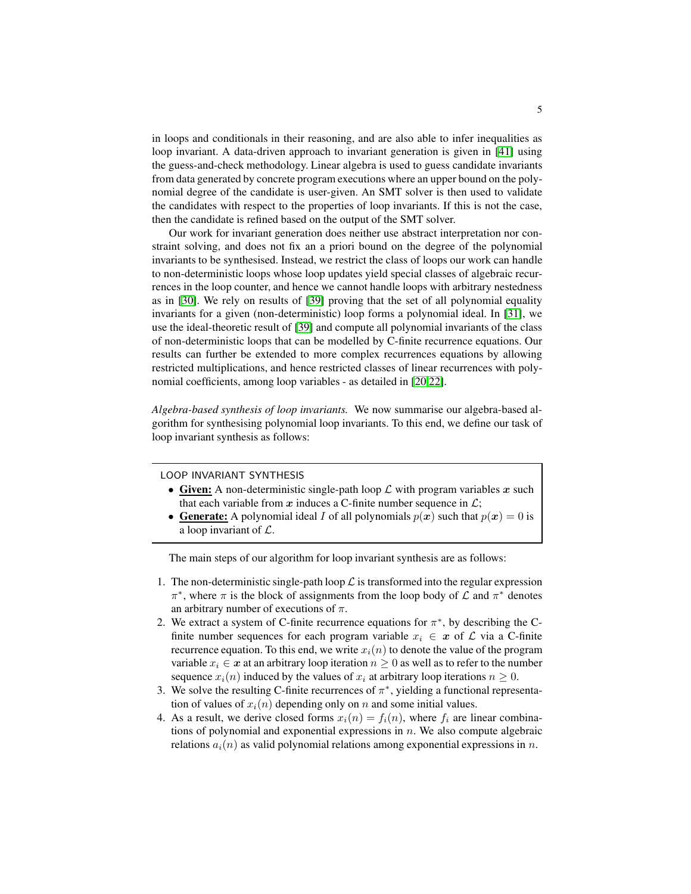in loops and conditionals in their reasoning, and are also able to infer inequalities as loop invariant. A data-driven approach to invariant generation is given in [41] using the guess-and-check methodology. Linear algebra is used to guess candidate invariants from data generated by concrete program executions where an upper bound on the polynomial degree of the candidate is user-given. An SMT solver is then used to validate the candidates with respect to the properties of loop invariants. If this is not the case, then the candidate is refined based on the output of the SMT solver.

Our work for invariant generation does neither use abstract interpretation nor constraint solving, and does not fix an a priori bound on the degree of the polynomial invariants to be synthesised. Instead, we restrict the class of loops our work can handle to non-deterministic loops whose loop updates yield special classes of algebraic recurrences in the loop counter, and hence we cannot handle loops with arbitrary nestedness as in [\[30\]](#page-10-3). We rely on results of [\[39\]](#page-11-3) proving that the set of all polynomial equality invariants for a given (non-deterministic) loop forms a polynomial ideal. In [\[31\]](#page-10-5), we use the ideal-theoretic result of [\[39\]](#page-11-3) and compute all polynomial invariants of the class of non-deterministic loops that can be modelled by C-finite recurrence equations. Our results can further be extended to more complex recurrences equations by allowing restricted multiplications, and hence restricted classes of linear recurrences with polynomial coefficients, among loop variables - as detailed in [\[20](#page-10-2)[,22\]](#page-10-14).

*Algebra-based synthesis of loop invariants.* We now summarise our algebra-based algorithm for synthesising polynomial loop invariants. To this end, we define our task of loop invariant synthesis as follows:

#### LOOP INVARIANT SYNTHESIS

- Given: A non-deterministic single-path loop  $\mathcal L$  with program variables  $x$  such that each variable from x induces a C-finite number sequence in  $\mathcal{L}$ ;
- Generate: A polynomial ideal I of all polynomials  $p(x)$  such that  $p(x) = 0$  is a loop invariant of  $\mathcal{L}$ .

The main steps of our algorithm for loop invariant synthesis are as follows:

- 1. The non-deterministic single-path loop  $\mathcal L$  is transformed into the regular expression  $\pi^*$ , where  $\pi$  is the block of assignments from the loop body of  $\mathcal L$  and  $\pi^*$  denotes an arbitrary number of executions of  $\pi$ .
- <span id="page-4-0"></span>2. We extract a system of C-finite recurrence equations for  $\pi^*$ , by describing the Cfinite number sequences for each program variable  $x_i \in \mathbf{x}$  of  $\mathcal{L}$  via a C-finite recurrence equation. To this end, we write  $x_i(n)$  to denote the value of the program variable  $x_i \in \mathbf{x}$  at an arbitrary loop iteration  $n \geq 0$  as well as to refer to the number sequence  $x_i(n)$  induced by the values of  $x_i$  at arbitrary loop iterations  $n \geq 0$ .
- 3. We solve the resulting C-finite recurrences of  $\pi^*$ , yielding a functional representation of values of  $x_i(n)$  depending only on n and some initial values.
- 4. As a result, we derive closed forms  $x_i(n) = f_i(n)$ , where  $f_i$  are linear combinations of polynomial and exponential expressions in  $n$ . We also compute algebraic relations  $a_i(n)$  as valid polynomial relations among exponential expressions in n.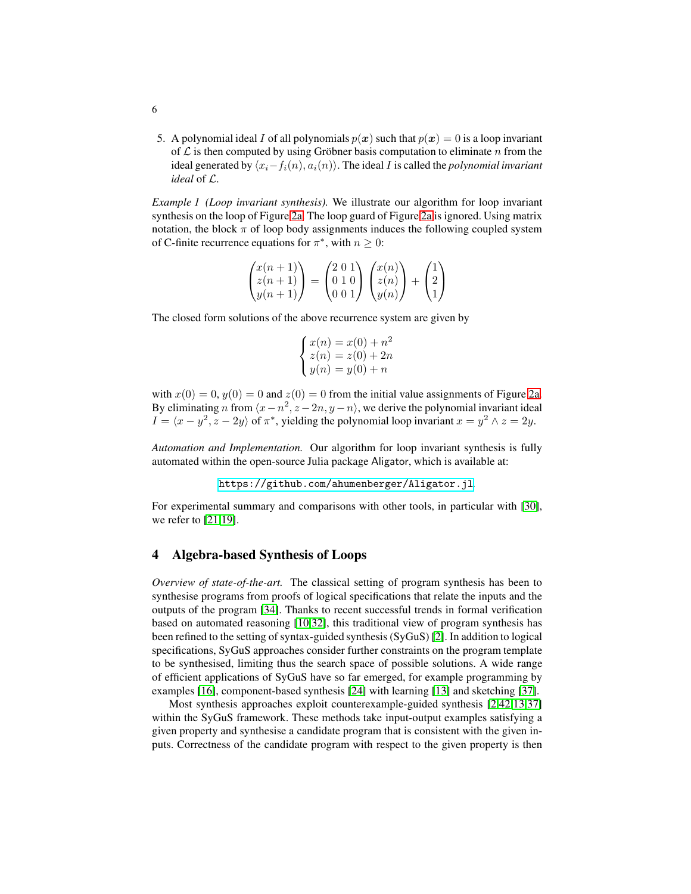5. A polynomial ideal I of all polynomials  $p(x)$  such that  $p(x) = 0$  is a loop invariant of  $\mathcal L$  is then computed by using Gröbner basis computation to eliminate n from the ideal generated by  $\langle x_i-f_i(n), a_i(n)\rangle$ . The ideal I is called the *polynomial invariant ideal* of L.

*Example 1 (Loop invariant synthesis).* We illustrate our algorithm for loop invariant synthesis on the loop of Figure [2a.](#page-2-1) The loop guard of Figure [2a](#page-2-1) is ignored. Using matrix notation, the block  $\pi$  of loop body assignments induces the following coupled system of C-finite recurrence equations for  $\pi^*$ , with  $n \geq 0$ :

$$
\begin{pmatrix} x(n+1) \\ z(n+1) \\ y(n+1) \end{pmatrix} = \begin{pmatrix} 2 & 0 & 1 \\ 0 & 1 & 0 \\ 0 & 0 & 1 \end{pmatrix} \begin{pmatrix} x(n) \\ z(n) \\ y(n) \end{pmatrix} + \begin{pmatrix} 1 \\ 2 \\ 1 \end{pmatrix}
$$

The closed form solutions of the above recurrence system are given by

$$
\begin{cases}\nx(n) = x(0) + n^2 \\
z(n) = z(0) + 2n \\
y(n) = y(0) + n\n\end{cases}
$$

with  $x(0) = 0$ ,  $y(0) = 0$  and  $z(0) = 0$  from the initial value assignments of Figure [2a.](#page-2-1) By eliminating n from  $\langle x - n^2, z - 2n, y - n \rangle$ , we derive the polynomial invariant ideal  $I = \langle x - y^2, z - 2y \rangle$  of  $\pi^*$ , yielding the polynomial loop invariant  $x = y^2 \wedge z = 2y$ .

*Automation and Implementation.* Our algorithm for loop invariant synthesis is fully automated within the open-source Julia package Aligator, which is available at:

```
https://github.com/ahumenberger/Aligator.jl.
```
For experimental summary and comparisons with other tools, in particular with [\[30\]](#page-10-3), we refer to [\[21,](#page-10-15)[19\]](#page-10-16).

## <span id="page-5-0"></span>4 Algebra-based Synthesis of Loops

*Overview of state-of-the-art.* The classical setting of program synthesis has been to synthesise programs from proofs of logical specifications that relate the inputs and the outputs of the program [\[34\]](#page-11-1). Thanks to recent successful trends in formal verification based on automated reasoning [\[10,](#page-10-17)[32\]](#page-10-18), this traditional view of program synthesis has been refined to the setting of syntax-guided synthesis (SyGuS) [\[2\]](#page-9-1). In addition to logical specifications, SyGuS approaches consider further constraints on the program template to be synthesised, limiting thus the search space of possible solutions. A wide range of efficient applications of SyGuS have so far emerged, for example programming by examples [\[16\]](#page-10-19), component-based synthesis [24] with learning [\[13\]](#page-10-20) and sketching [\[37\]](#page-11-6).

Most synthesis approaches exploit counterexample-guided synthesis [\[2](#page-9-1)[,42](#page-11-7)[,13](#page-10-20)[,37\]](#page-11-6) within the SyGuS framework. These methods take input-output examples satisfying a given property and synthesise a candidate program that is consistent with the given inputs. Correctness of the candidate program with respect to the given property is then

6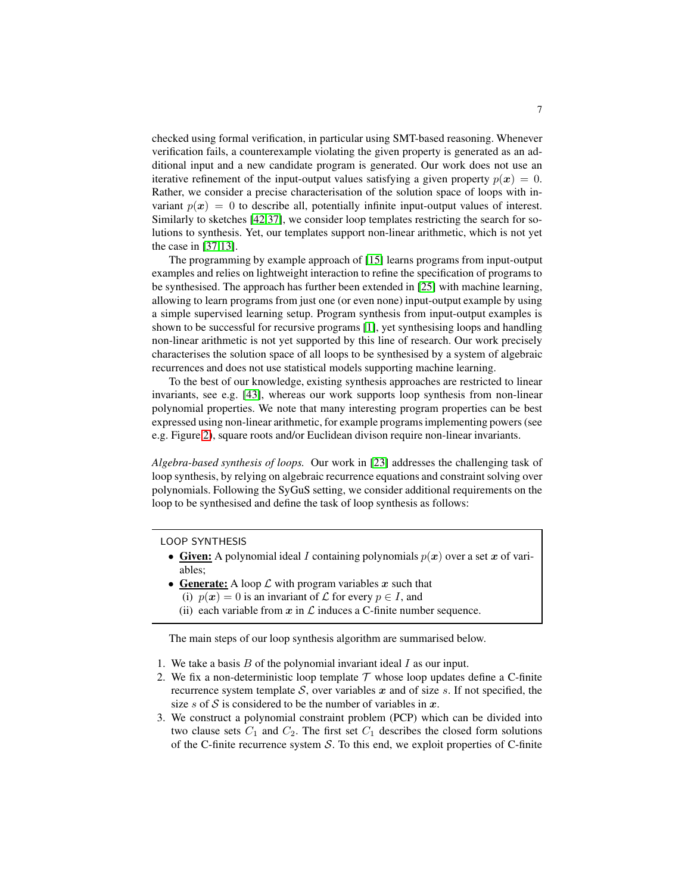checked using formal verification, in particular using SMT-based reasoning. Whenever verification fails, a counterexample violating the given property is generated as an additional input and a new candidate program is generated. Our work does not use an iterative refinement of the input-output values satisfying a given property  $p(x) = 0$ . Rather, we consider a precise characterisation of the solution space of loops with invariant  $p(x) = 0$  to describe all, potentially infinite input-output values of interest. Similarly to sketches [\[42,](#page-11-7)[37\]](#page-11-6), we consider loop templates restricting the search for solutions to synthesis. Yet, our templates support non-linear arithmetic, which is not yet the case in [\[37,](#page-11-6)[13\]](#page-10-20).

The programming by example approach of [\[15\]](#page-10-21) learns programs from input-output examples and relies on lightweight interaction to refine the specification of programs to be synthesised. The approach has further been extended in [\[25\]](#page-10-22) with machine learning, allowing to learn programs from just one (or even none) input-output example by using a simple supervised learning setup. Program synthesis from input-output examples is shown to be successful for recursive programs [\[1\]](#page-9-7), yet synthesising loops and handling non-linear arithmetic is not yet supported by this line of research. Our work precisely characterises the solution space of all loops to be synthesised by a system of algebraic recurrences and does not use statistical models supporting machine learning.

To the best of our knowledge, existing synthesis approaches are restricted to linear invariants, see e.g. [\[43\]](#page-11-0), whereas our work supports loop synthesis from non-linear polynomial properties. We note that many interesting program properties can be best expressed using non-linear arithmetic, for example programs implementing powers (see e.g. Figure [2\)](#page-2-1), square roots and/or Euclidean divison require non-linear invariants.

*Algebra-based synthesis of loops.* Our work in [\[23\]](#page-10-6) addresses the challenging task of loop synthesis, by relying on algebraic recurrence equations and constraint solving over polynomials. Following the SyGuS setting, we consider additional requirements on the loop to be synthesised and define the task of loop synthesis as follows:

#### LOOP SYNTHESIS

- Given: A polynomial ideal I containing polynomials  $p(x)$  over a set x of variables;
- Generate: A loop  $\mathcal L$  with program variables  $x$  such that
	- (i)  $p(x) = 0$  is an invariant of  $\mathcal L$  for every  $p \in I$ , and
	- (ii) each variable from x in  $\mathcal L$  induces a C-finite number sequence.

The main steps of our loop synthesis algorithm are summarised below.

- 1. We take a basis  $B$  of the polynomial invariant ideal  $I$  as our input.
- 2. We fix a non-deterministic loop template  $T$  whose loop updates define a C-finite recurrence system template S, over variables x and of size s. If not specified, the size s of S is considered to be the number of variables in  $x$ .
- 3. We construct a polynomial constraint problem (PCP) which can be divided into two clause sets  $C_1$  and  $C_2$ . The first set  $C_1$  describes the closed form solutions of the C-finite recurrence system  $S$ . To this end, we exploit properties of C-finite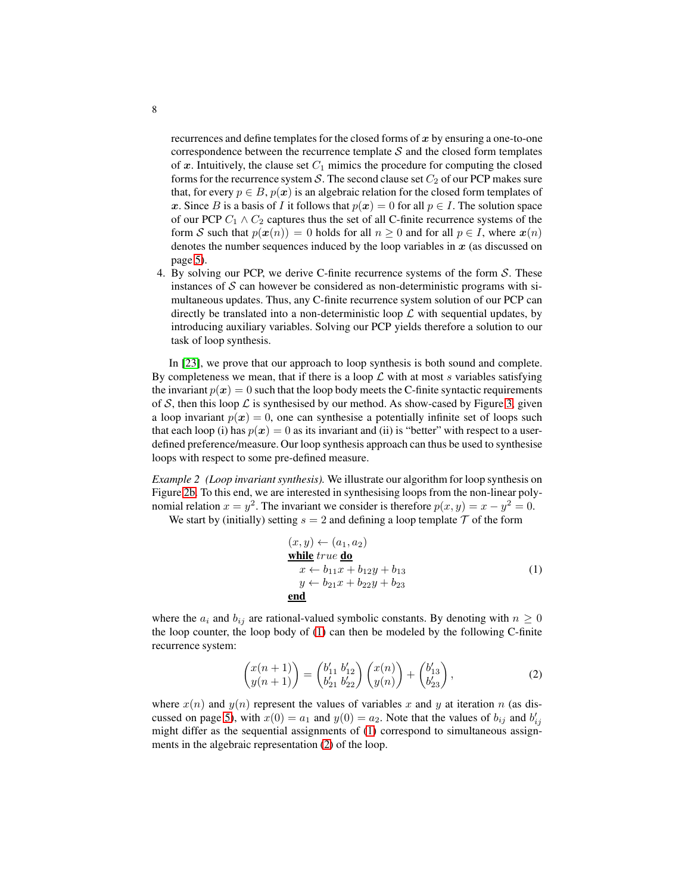recurrences and define templates for the closed forms of  $x$  by ensuring a one-to-one correspondence between the recurrence template  $S$  and the closed form templates of x. Intuitively, the clause set  $C_1$  mimics the procedure for computing the closed forms for the recurrence system  $S$ . The second clause set  $C_2$  of our PCP makes sure that, for every  $p \in B$ ,  $p(x)$  is an algebraic relation for the closed form templates of x. Since B is a basis of I it follows that  $p(x) = 0$  for all  $p \in I$ . The solution space of our PCP  $C_1 \wedge C_2$  captures thus the set of all C-finite recurrence systems of the form S such that  $p(x(n)) = 0$  holds for all  $n \ge 0$  and for all  $p \in I$ , where  $x(n)$ denotes the number sequences induced by the loop variables in  $x$  (as discussed on page [5\)](#page-4-0).

4. By solving our PCP, we derive C-finite recurrence systems of the form  $S$ . These instances of  $S$  can however be considered as non-deterministic programs with simultaneous updates. Thus, any C-finite recurrence system solution of our PCP can directly be translated into a non-deterministic loop  $\mathcal L$  with sequential updates, by introducing auxiliary variables. Solving our PCP yields therefore a solution to our task of loop synthesis.

In [\[23\]](#page-10-6), we prove that our approach to loop synthesis is both sound and complete. By completeness we mean, that if there is a loop  $\mathcal L$  with at most s variables satisfying the invariant  $p(x) = 0$  such that the loop body meets the C-finite syntactic requirements of S, then this loop  $\mathcal L$  is synthesised by our method. As show-cased by Figure [3,](#page-3-1) given a loop invariant  $p(x) = 0$ , one can synthesise a potentially infinite set of loops such that each loop (i) has  $p(x) = 0$  as its invariant and (ii) is "better" with respect to a userdefined preference/measure. Our loop synthesis approach can thus be used to synthesise loops with respect to some pre-defined measure.

*Example 2 (Loop invariant synthesis).* We illustrate our algorithm for loop synthesis on Figure [2b.](#page-2-1) To this end, we are interested in synthesising loops from the non-linear polynomial relation  $x = y^2$ . The invariant we consider is therefore  $p(x, y) = x - y^2 = 0$ .

We start by (initially) setting  $s = 2$  and defining a loop template  $\mathcal T$  of the form

<span id="page-7-0"></span>
$$
(x, y) \leftarrow (a_1, a_2)
$$
  
\n**while** true **do**  
\n
$$
x \leftarrow b_{11}x + b_{12}y + b_{13}
$$
  
\n
$$
y \leftarrow b_{21}x + b_{22}y + b_{23}
$$
  
\n**end** (1)

where the  $a_i$  and  $b_{ij}$  are rational-valued symbolic constants. By denoting with  $n \geq 0$ the loop counter, the loop body of [\(1\)](#page-7-0) can then be modeled by the following C-finite recurrence system:

<span id="page-7-1"></span>
$$
\begin{pmatrix} x(n+1) \\ y(n+1) \end{pmatrix} = \begin{pmatrix} b'_{11} & b'_{12} \\ b'_{21} & b'_{22} \end{pmatrix} \begin{pmatrix} x(n) \\ y(n) \end{pmatrix} + \begin{pmatrix} b'_{13} \\ b'_{23} \end{pmatrix},
$$
\n(2)

where  $x(n)$  and  $y(n)$  represent the values of variables x and y at iteration n (as dis-cussed on page [5\)](#page-4-0), with  $x(0) = a_1$  and  $y(0) = a_2$ . Note that the values of  $b_{ij}$  and  $b'_{ij}$ might differ as the sequential assignments of [\(1\)](#page-7-0) correspond to simultaneous assignments in the algebraic representation [\(2\)](#page-7-1) of the loop.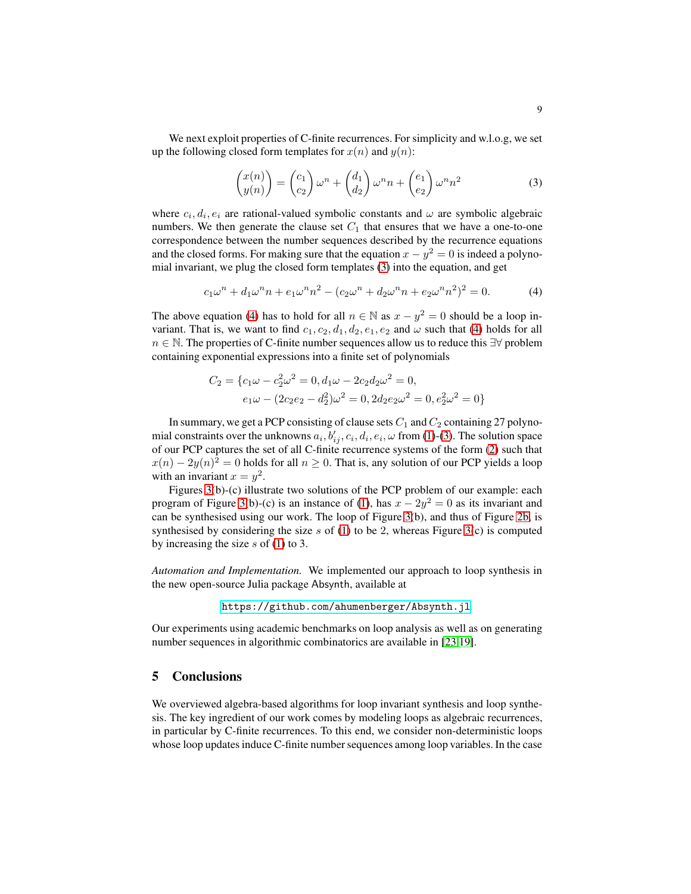We next exploit properties of C-finite recurrences. For simplicity and w.l.o.g, we set up the following closed form templates for  $x(n)$  and  $y(n)$ :

<span id="page-8-0"></span>
$$
\begin{pmatrix} x(n) \\ y(n) \end{pmatrix} = \begin{pmatrix} c_1 \\ c_2 \end{pmatrix} \omega^n + \begin{pmatrix} d_1 \\ d_2 \end{pmatrix} \omega^n n + \begin{pmatrix} e_1 \\ e_2 \end{pmatrix} \omega^n n^2 \tag{3}
$$

where  $c_i, d_i, e_i$  are rational-valued symbolic constants and  $\omega$  are symbolic algebraic numbers. We then generate the clause set  $C_1$  that ensures that we have a one-to-one correspondence between the number sequences described by the recurrence equations and the closed forms. For making sure that the equation  $x - y^2 = 0$  is indeed a polynomial invariant, we plug the closed form templates [\(3\)](#page-8-0) into the equation, and get

<span id="page-8-1"></span>
$$
c_1\omega^n + d_1\omega^n n + e_1\omega^n n^2 - (c_2\omega^n + d_2\omega^n n + e_2\omega^n n^2)^2 = 0.
$$
 (4)

The above equation [\(4\)](#page-8-1) has to hold for all  $n \in \mathbb{N}$  as  $x - y^2 = 0$  should be a loop invariant. That is, we want to find  $c_1, c_2, d_1, d_2, e_1, e_2$  and  $\omega$  such that [\(4\)](#page-8-1) holds for all  $n \in \mathbb{N}$ . The properties of C-finite number sequences allow us to reduce this  $\exists \forall$  problem containing exponential expressions into a finite set of polynomials

$$
C_2 = \{c_1\omega - c_2^2\omega^2 = 0, d_1\omega - 2c_2d_2\omega^2 = 0,
$$
  

$$
e_1\omega - (2c_2e_2 - d_2^2)\omega^2 = 0, 2d_2e_2\omega^2 = 0, e_2^2\omega^2 = 0\}
$$

In summary, we get a PCP consisting of clause sets  $C_1$  and  $C_2$  containing 27 polynomial constraints over the unknowns  $a_i$ ,  $b'_{ij}$ ,  $c_i$ ,  $d_i$ ,  $e_i$ ,  $\omega$  from [\(1\)](#page-7-0)-[\(3\)](#page-8-0). The solution space of our PCP captures the set of all C-finite recurrence systems of the form [\(2\)](#page-7-1) such that  $x(n) - 2y(n)^2 = 0$  holds for all  $n \ge 0$ . That is, any solution of our PCP yields a loop with an invariant  $x = y^2$ .

Figures [3\(](#page-3-1)b)-(c) illustrate two solutions of the PCP problem of our example: each program of Figure [3\(](#page-3-1)b)-(c) is an instance of [\(1\)](#page-7-0), has  $x - 2y^2 = 0$  as its invariant and can be synthesised using our work. The loop of Figure [3\(](#page-3-1)b), and thus of Figure [2b,](#page-2-1) is synthesised by considering the size s of [\(1\)](#page-7-0) to be 2, whereas Figure  $3(c)$  is computed by increasing the size  $s$  of [\(1\)](#page-7-0) to 3.

*Automation and Implementation.* We implemented our approach to loop synthesis in the new open-source Julia package Absynth, available at

```
https://github.com/ahumenberger/Absynth.jl.
```
Our experiments using academic benchmarks on loop analysis as well as on generating number sequences in algorithmic combinatorics are available in [\[23](#page-10-6)[,19\]](#page-10-16).

## 5 Conclusions

We overviewed algebra-based algorithms for loop invariant synthesis and loop synthesis. The key ingredient of our work comes by modeling loops as algebraic recurrences, in particular by C-finite recurrences. To this end, we consider non-deterministic loops whose loop updates induce C-finite number sequences among loop variables. In the case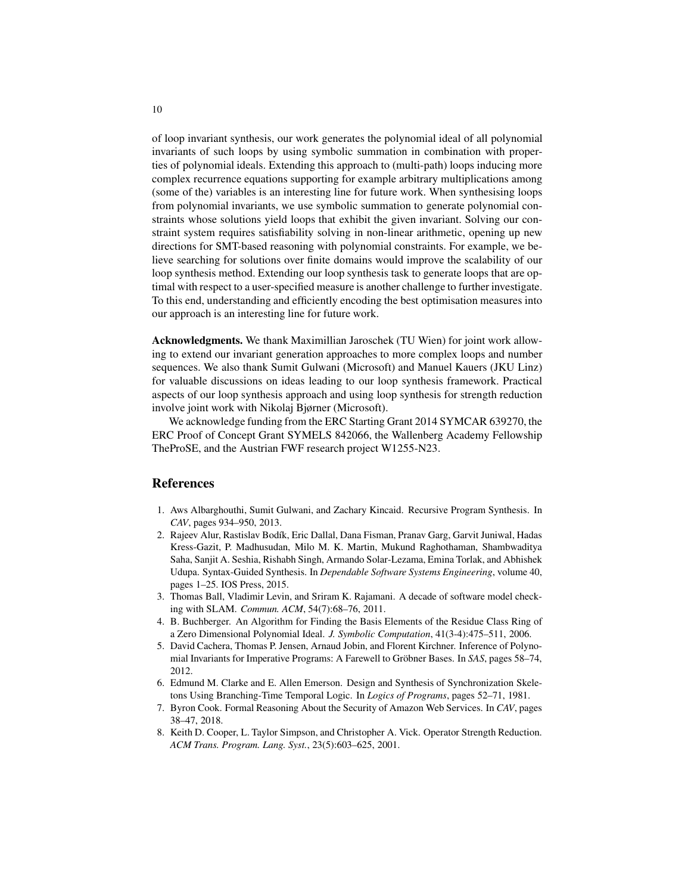of loop invariant synthesis, our work generates the polynomial ideal of all polynomial invariants of such loops by using symbolic summation in combination with properties of polynomial ideals. Extending this approach to (multi-path) loops inducing more complex recurrence equations supporting for example arbitrary multiplications among (some of the) variables is an interesting line for future work. When synthesising loops from polynomial invariants, we use symbolic summation to generate polynomial constraints whose solutions yield loops that exhibit the given invariant. Solving our constraint system requires satisfiability solving in non-linear arithmetic, opening up new directions for SMT-based reasoning with polynomial constraints. For example, we believe searching for solutions over finite domains would improve the scalability of our loop synthesis method. Extending our loop synthesis task to generate loops that are optimal with respect to a user-specified measure is another challenge to further investigate. To this end, understanding and efficiently encoding the best optimisation measures into our approach is an interesting line for future work.

Acknowledgments. We thank Maximillian Jaroschek (TU Wien) for joint work allowing to extend our invariant generation approaches to more complex loops and number sequences. We also thank Sumit Gulwani (Microsoft) and Manuel Kauers (JKU Linz) for valuable discussions on ideas leading to our loop synthesis framework. Practical aspects of our loop synthesis approach and using loop synthesis for strength reduction involve joint work with Nikolaj Bjørner (Microsoft).

We acknowledge funding from the ERC Starting Grant 2014 SYMCAR 639270, the ERC Proof of Concept Grant SYMELS 842066, the Wallenberg Academy Fellowship TheProSE, and the Austrian FWF research project W1255-N23.

## References

- <span id="page-9-7"></span>1. Aws Albarghouthi, Sumit Gulwani, and Zachary Kincaid. Recursive Program Synthesis. In *CAV*, pages 934–950, 2013.
- <span id="page-9-1"></span>2. Rajeev Alur, Rastislav Bodík, Eric Dallal, Dana Fisman, Pranav Garg, Garvit Juniwal, Hadas Kress-Gazit, P. Madhusudan, Milo M. K. Martin, Mukund Raghothaman, Shambwaditya Saha, Sanjit A. Seshia, Rishabh Singh, Armando Solar-Lezama, Emina Torlak, and Abhishek Udupa. Syntax-Guided Synthesis. In *Dependable Software Systems Engineering*, volume 40, pages 1–25. IOS Press, 2015.
- <span id="page-9-2"></span>3. Thomas Ball, Vladimir Levin, and Sriram K. Rajamani. A decade of software model checking with SLAM. *Commun. ACM*, 54(7):68–76, 2011.
- <span id="page-9-4"></span>4. B. Buchberger. An Algorithm for Finding the Basis Elements of the Residue Class Ring of a Zero Dimensional Polynomial Ideal. *J. Symbolic Computation*, 41(3-4):475–511, 2006.
- <span id="page-9-6"></span>5. David Cachera, Thomas P. Jensen, Arnaud Jobin, and Florent Kirchner. Inference of Polynomial Invariants for Imperative Programs: A Farewell to Gröbner Bases. In *SAS*, pages 58–74, 2012.
- <span id="page-9-0"></span>6. Edmund M. Clarke and E. Allen Emerson. Design and Synthesis of Synchronization Skeletons Using Branching-Time Temporal Logic. In *Logics of Programs*, pages 52–71, 1981.
- <span id="page-9-3"></span>7. Byron Cook. Formal Reasoning About the Security of Amazon Web Services. In *CAV*, pages 38–47, 2018.
- <span id="page-9-5"></span>8. Keith D. Cooper, L. Taylor Simpson, and Christopher A. Vick. Operator Strength Reduction. *ACM Trans. Program. Lang. Syst.*, 23(5):603–625, 2001.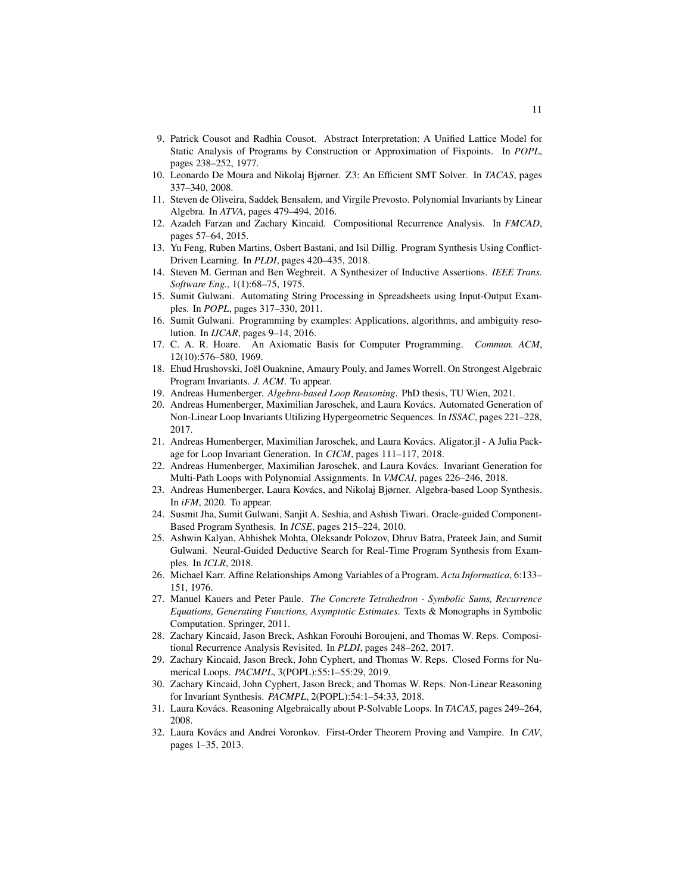- <span id="page-10-1"></span>9. Patrick Cousot and Radhia Cousot. Abstract Interpretation: A Unified Lattice Model for Static Analysis of Programs by Construction or Approximation of Fixpoints. In *POPL*, pages 238–252, 1977.
- <span id="page-10-17"></span>10. Leonardo De Moura and Nikolaj Bjørner. Z3: An Efficient SMT Solver. In *TACAS*, pages 337–340, 2008.
- <span id="page-10-10"></span>11. Steven de Oliveira, Saddek Bensalem, and Virgile Prevosto. Polynomial Invariants by Linear Algebra. In *ATVA*, pages 479–494, 2016.
- <span id="page-10-11"></span>12. Azadeh Farzan and Zachary Kincaid. Compositional Recurrence Analysis. In *FMCAD*, pages 57–64, 2015.
- <span id="page-10-20"></span>13. Yu Feng, Ruben Martins, Osbert Bastani, and Isil Dillig. Program Synthesis Using Conflict-Driven Learning. In *PLDI*, pages 420–435, 2018.
- <span id="page-10-7"></span>14. Steven M. German and Ben Wegbreit. A Synthesizer of Inductive Assertions. *IEEE Trans. Software Eng.*, 1(1):68–75, 1975.
- <span id="page-10-21"></span>15. Sumit Gulwani. Automating String Processing in Spreadsheets using Input-Output Examples. In *POPL*, pages 317–330, 2011.
- <span id="page-10-19"></span>16. Sumit Gulwani. Programming by examples: Applications, algorithms, and ambiguity resolution. In *IJCAR*, pages 9–14, 2016.
- <span id="page-10-0"></span>17. C. A. R. Hoare. An Axiomatic Basis for Computer Programming. *Commun. ACM*, 12(10):576–580, 1969.
- <span id="page-10-9"></span>18. Ehud Hrushovski, Joël Ouaknine, Amaury Pouly, and James Worrell. On Strongest Algebraic Program Invariants. *J. ACM*. To appear.
- <span id="page-10-16"></span><span id="page-10-2"></span>19. Andreas Humenberger. *Algebra-based Loop Reasoning*. PhD thesis, TU Wien, 2021.
- 20. Andreas Humenberger, Maximilian Jaroschek, and Laura Kovács. Automated Generation of Non-Linear Loop Invariants Utilizing Hypergeometric Sequences. In *ISSAC*, pages 221–228, 2017.
- <span id="page-10-15"></span>21. Andreas Humenberger, Maximilian Jaroschek, and Laura Kovács. Aligator.jl - A Julia Package for Loop Invariant Generation. In *CICM*, pages 111–117, 2018.
- <span id="page-10-14"></span>22. Andreas Humenberger, Maximilian Jaroschek, and Laura Kovács. Invariant Generation for Multi-Path Loops with Polynomial Assignments. In *VMCAI*, pages 226–246, 2018.
- <span id="page-10-6"></span>23. Andreas Humenberger, Laura Kovács, and Nikolaj Bjørner. Algebra-based Loop Synthesis. In *iFM*, 2020. To appear.
- 24. Susmit Jha, Sumit Gulwani, Sanjit A. Seshia, and Ashish Tiwari. Oracle-guided Component-Based Program Synthesis. In *ICSE*, pages 215–224, 2010.
- <span id="page-10-22"></span>25. Ashwin Kalyan, Abhishek Mohta, Oleksandr Polozov, Dhruv Batra, Prateek Jain, and Sumit Gulwani. Neural-Guided Deductive Search for Real-Time Program Synthesis from Examples. In *ICLR*, 2018.
- <span id="page-10-8"></span>26. Michael Karr. Affine Relationships Among Variables of a Program. *Acta Informatica*, 6:133– 151, 1976.
- <span id="page-10-4"></span>27. Manuel Kauers and Peter Paule. *The Concrete Tetrahedron - Symbolic Sums, Recurrence Equations, Generating Functions, Asymptotic Estimates*. Texts & Monographs in Symbolic Computation. Springer, 2011.
- <span id="page-10-12"></span>28. Zachary Kincaid, Jason Breck, Ashkan Forouhi Boroujeni, and Thomas W. Reps. Compositional Recurrence Analysis Revisited. In *PLDI*, pages 248–262, 2017.
- <span id="page-10-13"></span>29. Zachary Kincaid, Jason Breck, John Cyphert, and Thomas W. Reps. Closed Forms for Numerical Loops. *PACMPL*, 3(POPL):55:1–55:29, 2019.
- <span id="page-10-3"></span>30. Zachary Kincaid, John Cyphert, Jason Breck, and Thomas W. Reps. Non-Linear Reasoning for Invariant Synthesis. *PACMPL*, 2(POPL):54:1–54:33, 2018.
- <span id="page-10-5"></span>31. Laura Kov´acs. Reasoning Algebraically about P-Solvable Loops. In *TACAS*, pages 249–264, 2008.
- <span id="page-10-18"></span>32. Laura Kov´acs and Andrei Voronkov. First-Order Theorem Proving and Vampire. In *CAV*, pages 1–35, 2013.